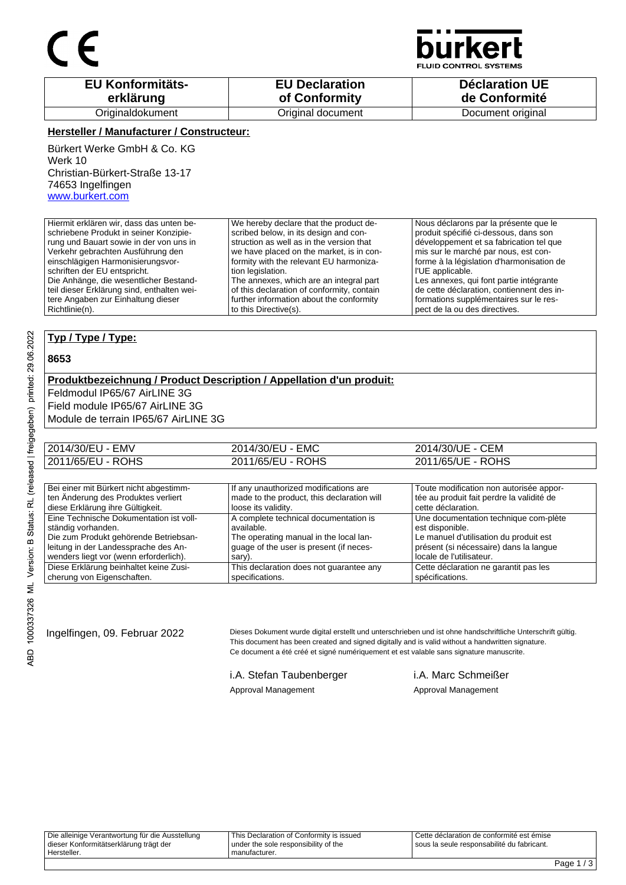

**JID CONTROL SYSTEMS** 

| <b>EU Konformitäts-</b> | <b>EU Declaration</b> | Déclaration UE    |
|-------------------------|-----------------------|-------------------|
| erklärung               | of Conformity         | de Conformité     |
| Originaldokument        | Original document     | Document original |

#### **Hersteller / Manufacturer / Constructeur:**

Bürkert Werke GmbH & Co. KG Werk 10 Christian-Bürkert-Straße 13-17 74653 Ingelfingen www.burkert.com

Hiermit erklären wir, dass das unten beschriebene Produkt in seiner Konzipierung und Bauart sowie in der von uns in Verkehr gebrachten Ausführung den einschlägigen Harmonisierungsvorschriften der EU entspricht. Die Anhänge, die wesentlicher Bestandteil dieser Erklärung sind, enthalten weitere Angaben zur Einhaltung dieser Richtlinie(n). We hereby declare that the product described below, in its design and construction as well as in the version that we have placed on the market, is in conformity with the relevant EU harmonization legislation. The annexes, which are an integral part of this declaration of conformity, contain further information about the conformity to this Directive(s). Nous déclarons par la présente que le produit spécifié ci-dessous, dans son développement et sa fabrication tel que mis sur le marché par nous, est conforme à la législation d'harmonisation de l'UE applicable. Les annexes, qui font partie intégrante de cette déclaration, contiennent des informations supplémentaires sur le respect de la ou des directives.

### **Typ / Type / Type:**

#### **8653**

#### **Produktbezeichnung / Product Description / Appellation d'un produit:**

Feldmodul IP65/67 AirLINE 3G Field module IP65/67 AirLINE 3G Module de terrain IP65/67 AirLINE 3G

| 2014/30/EU - EMV  | 2014/30/EU - EMC  | 2014/30/UE - CEM  |
|-------------------|-------------------|-------------------|
| 2011/65/EU - ROHS | 2011/65/EU - ROHS | 2011/65/UE - ROHS |

| Bei einer mit Bürkert nicht abgestimm-  | If any unauthorized modifications are      | Toute modification non autorisée appor-   |
|-----------------------------------------|--------------------------------------------|-------------------------------------------|
| ten Änderung des Produktes verliert     | made to the product, this declaration will | tée au produit fait perdre la validité de |
| diese Erklärung ihre Gültigkeit.        | loose its validity.                        | cette déclaration.                        |
| Eine Technische Dokumentation ist voll- | A complete technical documentation is      | Une documentation technique com-plète     |
| ständig vorhanden.                      | available.                                 | est disponible.                           |
| Die zum Produkt gehörende Betriebsan-   | The operating manual in the local lan-     | Le manuel d'utilisation du produit est    |
| leitung in der Landessprache des An-    | quage of the user is present (if neces-    | présent (si nécessaire) dans la langue    |
| wenders liegt vor (wenn erforderlich).  | sary).                                     | locale de l'utilisateur.                  |
| Diese Erklärung beinhaltet keine Zusi-  | This declaration does not guarantee any    | Cette déclaration ne garantit pas les     |
| cherung von Eigenschaften.              | specifications.                            | spécifications.                           |

Ingelfingen, 09. Februar 2022 Dieses Dokument wurde digital erstellt und unterschrieben und ist ohne handschriftliche Unterschrift gültig. This document has been created and signed digitally and is valid without a handwritten signature. Ce document a été créé et signé numériquement et est valable sans signature manuscrite.

i.A. Stefan Taubenberger i.A. Marc Schmeißer

Approval Management Approval Management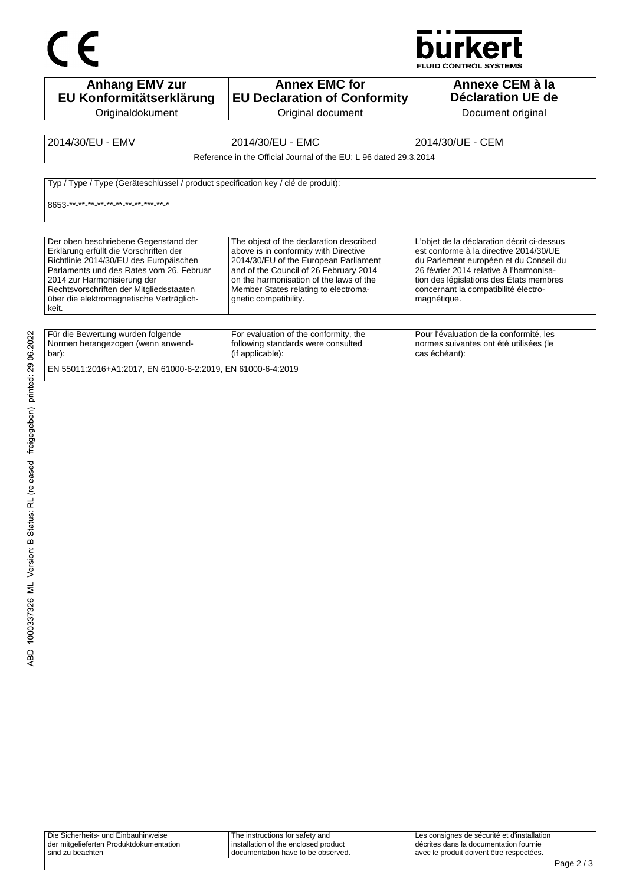# $C \in$



| <b>Anhang EMV zur</b><br>EU Konformitätserklärung                                                                                                                                                                                                                                                     | <b>Annex EMC for</b><br><b>EU Declaration of Conformity</b>                                                                                                                                                                                                                     | Annexe CEM à la<br>Déclaration UE de                                                                                                                                                                                                                                        |
|-------------------------------------------------------------------------------------------------------------------------------------------------------------------------------------------------------------------------------------------------------------------------------------------------------|---------------------------------------------------------------------------------------------------------------------------------------------------------------------------------------------------------------------------------------------------------------------------------|-----------------------------------------------------------------------------------------------------------------------------------------------------------------------------------------------------------------------------------------------------------------------------|
| Originaldokument                                                                                                                                                                                                                                                                                      | Original document                                                                                                                                                                                                                                                               | Document original                                                                                                                                                                                                                                                           |
| 2014/30/EU - EMV                                                                                                                                                                                                                                                                                      | 2014/30/EU - EMC                                                                                                                                                                                                                                                                | 2014/30/UE - CEM                                                                                                                                                                                                                                                            |
|                                                                                                                                                                                                                                                                                                       | Reference in the Official Journal of the EU: L 96 dated 29.3.2014                                                                                                                                                                                                               |                                                                                                                                                                                                                                                                             |
| Typ / Type / Type (Geräteschlüssel / product specification key / clé de produit):<br>8653 ** ** ** ** ** ** ** ** ** ** ** **                                                                                                                                                                         |                                                                                                                                                                                                                                                                                 |                                                                                                                                                                                                                                                                             |
| Der oben beschriebene Gegenstand der<br>Erklärung erfüllt die Vorschriften der<br>Richtlinie 2014/30/EU des Europäischen<br>Parlaments und des Rates vom 26. Februar<br>2014 zur Harmonisierung der<br>Rechtsvorschriften der Mitgliedsstaaten<br>über die elektromagnetische Verträglich-<br>l keit. | The object of the declaration described<br>above is in conformity with Directive<br>2014/30/EU of the European Parliament<br>and of the Council of 26 February 2014<br>on the harmonisation of the laws of the<br>Member States relating to electroma-<br>qnetic compatibility. | L'objet de la déclaration décrit ci-dessus<br>est conforme à la directive 2014/30/UE<br>du Parlement européen et du Conseil du<br>26 février 2014 relative à l'harmonisa-<br>tion des législations des États membres<br>concernant la compatibilité électro-<br>magnétique. |
| Für die Bewertung wurden folgende<br>Normen herangezogen (wenn anwend-<br>  bar):                                                                                                                                                                                                                     | For evaluation of the conformity, the<br>following standards were consulted<br>(if applicable):                                                                                                                                                                                 | Pour l'évaluation de la conformité, les<br>normes suivantes ont été utilisées (le<br>cas échéant):                                                                                                                                                                          |
| EN 55011:2016+A1:2017, EN 61000-6-2:2019, EN 61000-6-4:2019                                                                                                                                                                                                                                           |                                                                                                                                                                                                                                                                                 |                                                                                                                                                                                                                                                                             |

| Die Sicherheits- und Einbauhinweise     | The instructions for safety and      | Les consignes de sécurité et d'installation |
|-----------------------------------------|--------------------------------------|---------------------------------------------|
| der mitgelieferten Produktdokumentation | installation of the enclosed product | décrites dans la documentation fournie      |
| sind zu beachten                        | I documentation have to be observed. | avec le produit doivent être respectées.    |
|                                         |                                      |                                             |